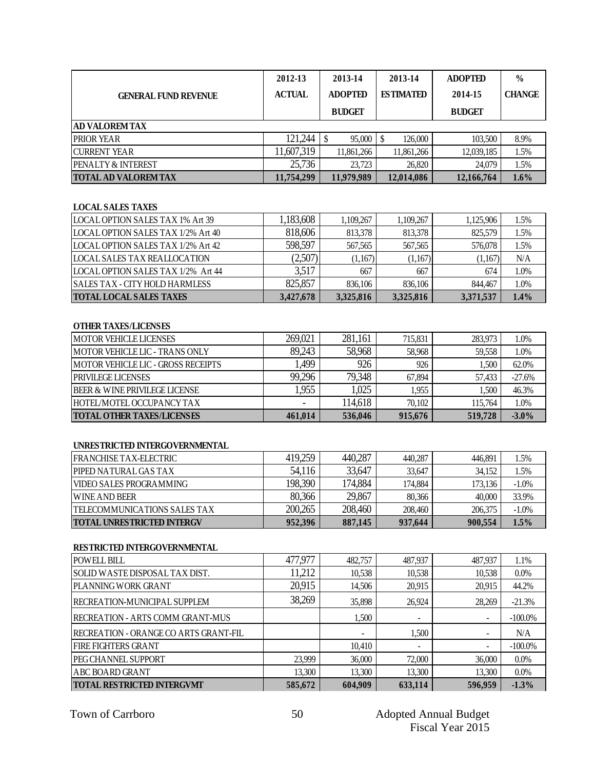|                               | 2012-13       | 2013-14        | 2013-14          | <b>ADOPTED</b> | $\frac{0}{0}$ |
|-------------------------------|---------------|----------------|------------------|----------------|---------------|
| <b>GENERAL FUND REVENUE</b>   | <b>ACTUAL</b> | <b>ADOPTED</b> | <b>ESTIMATED</b> | 2014-15        | <b>CHANGE</b> |
|                               |               | <b>BUDGET</b>  |                  | <b>BUDGET</b>  |               |
| <b>AD VALOREM TAX</b>         |               |                |                  |                |               |
| <b>PRIOR YEAR</b>             | 121,244       | 95,000         | 126,000          | 103,500        | 8.9%          |
| <b>CURRENT YEAR</b>           | 11,607,319    | 11,861,266     | 11,861,266       | 12,039,185     | 1.5%          |
| <b>PENALTY &amp; INTEREST</b> | 25,736        | 23,723         | 26,820           | 24,079         | 1.5%          |
| <b>TOTAL AD VALOREM TAX</b>   | 11,754,299    | 11,979,989     | 12,014,086       | 12,166,764     | $1.6\%$       |

#### **LOCAL SALES TAXES**

| LOCAL OPTION SALES TAX 1% Art 39           | 1,183,608 | 1.109.267 | 1,109,267 | 1.125,906 | 1.5% |
|--------------------------------------------|-----------|-----------|-----------|-----------|------|
| LOCAL OPTION SALES TAX 1/2% Art 40         | 818,606   | 813.378   | 813,378   | 825,579   | 1.5% |
| <b>ILOCAL OPTION SALES TAX 1/2% Art 42</b> | 598,597   | 567.565   | 567,565   | 576,078   | 1.5% |
| <b>LOCAL SALES TAX REALLOCATION</b>        | (2,507)   | (1,167)   | (1,167)   | (1,167)   | N/A  |
| LOCAL OPTION SALES TAX 1/2% Art 44         | 3,517     | 667       | 667       | 674       | 1.0% |
| <b>SALES TAX - CITY HOLD HARMLESS</b>      | 825,857   | 836.106   | 836,106   | 844.467   | 1.0% |
| <b>TOTAL LOCAL SALES TAXES</b>             | 3.427.678 | 3,325,816 | 3,325,816 | 3,371,537 | 1.4% |

#### **OTHER TAXES/LICENSES**

| <b>IMOTOR VEHICLE LICENSES</b>            | 269.021                  | 281,161 | 715,831 | 283,973 | 1.0%     |
|-------------------------------------------|--------------------------|---------|---------|---------|----------|
| <b>MOTOR VEHICLE LIC - TRANS ONLY</b>     | 89.243                   | 58,968  | 58,968  | 59.558  | 1.0%     |
| IMOTOR VEHICLE LIC - GROSS RECEIPTS       | .499                     | 926     | 926     | .500    | 62.0%    |
| <b>PRIVILEGE LICENSES</b>                 | 99,296                   | 79,348  | 67.894  | 57.433  | $-27.6%$ |
| <b>IBEER &amp; WINE PRIVILEGE LICENSE</b> | .955                     | .025    | 1.955   | 1.500   | 46.3%    |
| HOTEL/MOTEL OCCUPANCY TAX                 | $\overline{\phantom{0}}$ | 114,618 | 70.102  | 115.764 | 1.0%     |
| <b>TOTAL OTHER TAXES/LICENSES</b>         | 461.014                  | 536,046 | 915.676 | 519,728 | $-3.0\%$ |

#### **UNRESTRICTED INTERGOVERNMENTAL**

| <b>IFRANCHISE TAX-ELECTRIC</b>    | 419,259 | 440,287 | 440.287 | 446.891 | .5%      |
|-----------------------------------|---------|---------|---------|---------|----------|
| <b>PIPED NATURAL GAS TAX</b>      | 54,116  | 33,647  | 33,647  | 34.152  | .5%      |
| <b>VIDEO SALES PROGRAMMING</b>    | 198,390 | 174,884 | 174.884 | 173,136 | $-1.0\%$ |
| <b>WINE AND BEER</b>              | 80,366  | 29,867  | 80.366  | 40,000  | 33.9%    |
| TELECOMMUNICATIONS SALES TAX      | 200.265 | 208,460 | 208,460 | 206,375 | $-1.0\%$ |
| <b>TOTAL UNRESTRICTED INTERGV</b> | 952.396 | 887,145 | 937,644 | 900.554 | $1.5\%$  |

#### **RESTRICTED INTERGOVERNMENTAL**

| POWELL BILL                           | 477,977 | 482,757 | 487,937 | 487,937 | 1.1%       |
|---------------------------------------|---------|---------|---------|---------|------------|
| SOLID WASTE DISPOSAL TAX DIST.        | 11,212  | 10,538  | 10,538  | 10,538  | $0.0\%$    |
| PLANNING WORK GRANT                   | 20,915  | 14,506  | 20,915  | 20,915  | 44.2%      |
| RECREATION-MUNICIPAL SUPPLEM          | 38,269  | 35,898  | 26,924  | 28,269  | $-21.3%$   |
| RECREATION - ARTS COMM GRANT-MUS      |         | 1.500   |         | ٠       | $-100.0\%$ |
| RECREATION - ORANGE CO ARTS GRANT-FIL |         |         | 1.500   | ۰       | N/A        |
| <b>FIRE FIGHTERS GRANT</b>            |         | 10,410  |         |         | $-100.0\%$ |
| PEG CHANNEL SUPPORT                   | 23,999  | 36,000  | 72,000  | 36,000  | $0.0\%$    |
| <b>ABC BOARD GRANT</b>                | 13.300  | 13,300  | 13,300  | 13,300  | $0.0\%$    |
| <b>TOTAL RESTRICTED INTERGVMT</b>     | 585,672 | 604,909 | 633,114 | 596,959 | $-1.3%$    |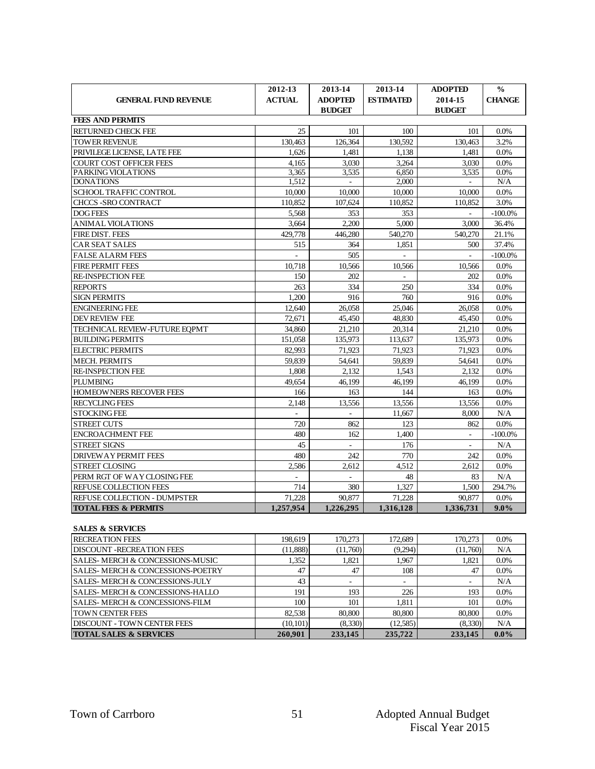|                                     | 2012-13       | 2013-14                         | 2013-14                  | <b>ADOPTED</b>           | $\frac{0}{0}$ |
|-------------------------------------|---------------|---------------------------------|--------------------------|--------------------------|---------------|
| <b>GENERAL FUND REVENUE</b>         | <b>ACTUAL</b> | <b>ADOPTED</b><br><b>BUDGET</b> | <b>ESTIMATED</b>         | 2014-15<br><b>BUDGET</b> | <b>CHANGE</b> |
| <b>FEES AND PERMITS</b>             |               |                                 |                          |                          |               |
| <b>RETURNED CHECK FEE</b>           | 25            | 101                             | 100                      | 101                      | 0.0%          |
| <b>TOWER REVENUE</b>                | 130.463       | 126.364                         | 130.592                  | 130,463                  | 3.2%          |
| PRIVILEGE LICENSE, LATE FEE         | 1.626         | 1.481                           | 1.138                    | 1.481                    | 0.0%          |
| <b>COURT COST OFFICER FEES</b>      | 4.165         | 3.030                           | 3.264                    | 3.030                    | 0.0%          |
| PARKING VIOLATIONS                  | 3.365         | 3.535                           | 6.850                    | 3,535                    | 0.0%          |
| <b>DONATIONS</b>                    | 1,512         | $\sim$                          | 2.000                    | $\sim$                   | N/A           |
| <b>SCHOOL TRAFFIC CONTROL</b>       | 10,000        | 10,000                          | 10,000                   | 10,000                   | 0.0%          |
| <b>CHCCS -SRO CONTRACT</b>          | 110.852       | 107.624                         | 110.852                  | 110.852                  | 3.0%          |
| <b>DOG FEES</b>                     | 5.568         | 353                             | 353                      | $\mathbf{r}$             | $-100.0\%$    |
| <b>ANIMAL VIOLATIONS</b>            | 3.664         | 2.200                           | 5,000                    | 3,000                    | 36.4%         |
| <b>FIRE DIST. FEES</b>              | 429,778       | 446.280                         | 540,270                  | 540,270                  | 21.1%         |
| <b>CAR SEAT SALES</b>               | 515           | 364                             | 1.851                    | 500                      | 37.4%         |
| <b>FALSE ALARM FEES</b>             | L.            | 505                             | $\overline{\phantom{a}}$ | $\overline{a}$           | $-100.0\%$    |
| <b>FIRE PERMIT FEES</b>             | 10,718        | 10,566                          | 10,566                   | 10.566                   | 0.0%          |
| <b>RE-INSPECTION FEE</b>            | 150           | 202                             | $\sim$                   | 202                      | 0.0%          |
| <b>REPORTS</b>                      | 263           | 334                             | 250                      | 334                      | 0.0%          |
| <b>SIGN PERMITS</b>                 | 1.200         | 916                             | 760                      | 916                      | 0.0%          |
| <b>ENGINEERING FEE</b>              | 12,640        | 26,058                          | 25,046                   | 26,058                   | 0.0%          |
| <b>DEV REVIEW FEE</b>               | 72.671        | 45.450                          | 48.830                   | 45.450                   | 0.0%          |
| TECHNICAL REVIEW-FUTURE EOPMT       | 34,860        | 21,210                          | 20.314                   | 21,210                   | 0.0%          |
| <b>BUILDING PERMITS</b>             | 151,058       | 135,973                         | 113,637                  | 135,973                  | 0.0%          |
| <b>ELECTRIC PERMITS</b>             | 82.993        | 71.923                          | 71.923                   | 71.923                   | 0.0%          |
| <b>MECH. PERMITS</b>                | 59.839        | 54,641                          | 59,839                   | 54,641                   | 0.0%          |
| <b>RE-INSPECTION FEE</b>            | 1.808         | 2.132                           | 1.543                    | 2.132                    | 0.0%          |
| <b>PLUMBING</b>                     | 49.654        | 46.199                          | 46.199                   | 46.199                   | 0.0%          |
| <b>HOMEOWNERS RECOVER FEES</b>      | 166           | 163                             | 144                      | 163                      | 0.0%          |
| <b>RECYCLING FEES</b>               | 2,148         | 13,556                          | 13,556                   | 13,556                   | 0.0%          |
| <b>STOCKING FEE</b>                 |               |                                 | 11,667                   | 8.000                    | N/A           |
| <b>STREET CUTS</b>                  | 720           | 862                             | 123                      | 862                      | 0.0%          |
| <b>ENCROACHMENT FEE</b>             | 480           | 162                             | 1.400                    |                          | $-100.0\%$    |
| <b>STREET SIGNS</b>                 | 45            | $\overline{a}$                  | 176                      |                          | N/A           |
| <b>DRIVEW A Y PERMIT FEES</b>       | 480           | 242                             | 770                      | 242                      | 0.0%          |
| <b>STREET CLOSING</b>               | 2.586         | 2.612                           | 4.512                    | 2.612                    | 0.0%          |
| PERM RGT OF WAY CLOSING FEE         | ÷.            | $\mathbf{r}$                    | 48                       | 83                       | N/A           |
| REFUSE COLLECTION FEES              | 714           | 380                             | 1.327                    | 1,500                    | 294.7%        |
| <b>REFUSE COLLECTION - DUMPSTER</b> | 71.228        | 90.877                          | 71.228                   | 90.877                   | 0.0%          |
| <b>TOTAL FEES &amp; PERMITS</b>     | 1.257.954     | 1.226.295                       | 1.316.128                | 1,336,731                | $9.0\%$       |
| <b>SALES &amp; SERVICES</b>         |               |                                 |                          |                          |               |
| <b>RECREATION FEES</b>              | 198,619       | 170,273                         | 172,689                  | 170,273                  | $0.0\%$       |
| <b>DICCOUNT</b>                     | (11.000)      | (11.76)                         |                          | (11.720)                 |               |

| <b>RECREATION FEES</b>            | 198,619   | 170.273  | 172,689                  | 170,273  | 0.0% |
|-----------------------------------|-----------|----------|--------------------------|----------|------|
| DISCOUNT -RECREATION FEES         | (11,888)  | (11,760) | (9,294)                  | (11,760) | N/A  |
| SALES- MERCH & CONCESSIONS-MUSIC  | 1.352     | 1.821    | 1.967                    | 1.821    | 0.0% |
| SALES- MERCH & CONCESSIONS-POETRY | 47        | 47       | 108                      | 47       | 0.0% |
| SALES- MERCH & CONCESSIONS-JULY   | 43        | -        | $\overline{\phantom{a}}$ | ۰        | N/A  |
| SALES- MERCH & CONCESSIONS-HALLO  | 191       | 193      | 226                      | 193      | 0.0% |
| SALES- MERCH & CONCESSIONS-FILM   | 100       | 101      | 1.811                    | 101      | 0.0% |
| TOWN CENTER FEES                  | 82.538    | 80,800   | 80,800                   | 80,800   | 0.0% |
| DISCOUNT - TOWN CENTER FEES       | (10, 101) | (8,330)  | (12, 585)                | (8,330)  | N/A  |
|                                   |           |          |                          |          |      |

**TOTAL SALES & SERVICES 260,901 233,145 235,722 233,145 0.0%**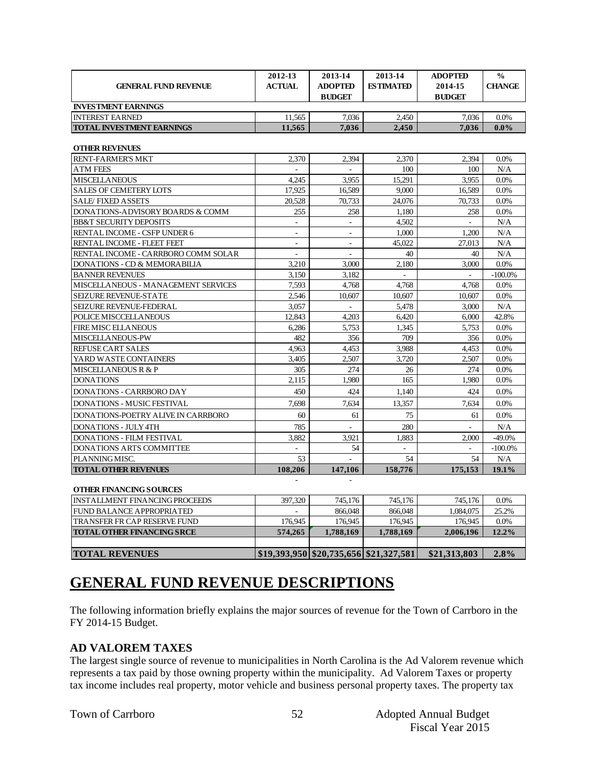| 2012-13<br>2013-14<br>2013-14<br><b>ADOPTED</b><br>$\frac{0}{0}$<br><b>ACTUAL</b><br><b>ADOPTED</b><br><b>ESTIMATED</b><br>2014-15<br><b>GENERAL FUND REVENUE</b><br><b>BUDGET</b><br><b>BUDGET</b><br><b>INVESTMENT EARNINGS</b><br><b>INTEREST EARNED</b><br>11,565<br>7,036<br>2.450<br>7.036<br>$0.0\%$<br><b>TOTAL INVESTMENT EARNINGS</b><br>11,565<br>2.450<br>7.036<br>7.036<br>$0.0\%$<br><b>OTHER REVENUES</b><br><b>RENT-FARMER'S MKT</b><br>2.394<br>2,370<br>2.394<br>2.370<br>0.0%<br><b>ATM FEES</b><br>100<br>100<br>N/A<br>$\overline{a}$<br>$\mathbf{r}$<br><b>MISCELLANEOUS</b><br>4,245<br>3,955<br>15,291<br>3.955<br>0.0%<br><b>SALES OF CEMETERY LOTS</b><br>9.000<br>17,925<br>16,589<br>16,589<br>0.0%<br><b>SALE/FIXED ASSETS</b><br>20,528<br>24,076<br>70.733<br>0.0%<br>70,733<br>DONATIONS-ADVISORY BOARDS & COMM<br>1.180<br>255<br>258<br>258<br>0.0%<br><b>BB&amp;T SECURITY DEPOSITS</b><br>4,502<br>N/A<br>$\overline{\phantom{a}}$<br>$\overline{\phantom{a}}$<br>$\sim$<br>RENTAL INCOME - CSFP UNDER 6<br>1.000<br>1,200<br>N/A<br>×.<br>$\sim$<br>RENTAL INCOME - FLEET FEET<br>45.022<br>27.013<br>N/A<br>$\sim$<br>$\sim$<br>RENTAL INCOME - CARRBORO COMM SOLAR<br>N/A<br>40<br>40<br>$\sim$<br>$\sim$<br>DONATIONS - CD & MEMORABILIA<br>3,210<br>2.180<br>0.0%<br>3,000<br>3.000<br><b>BANNER REVENUES</b><br>3,150<br>3,182<br>$-100.0\%$<br>$\overline{a}$<br>$\mathcal{L}$<br>MISCELLANEOUS - MANAGEMENT SERVICES<br>7,593<br>4.768<br>4,768<br>4.768<br>0.0%<br>SEIZURE REVENUE-STATE<br>2,546<br>10.607<br>10.607<br>10.607<br>0.0%<br>SEIZURE REVENUE-FEDERAL<br>3,057<br>N/A<br>5,478<br>3,000<br>$\overline{a}$<br>POLICE MISCCELLANEOUS<br>42.8%<br>12,843<br>4,203<br>6,420<br>6,000<br><b>FIRE MISC ELLANEOUS</b><br>6,286<br>5,753<br>1,345<br>5,753<br>0.0%<br>MISCELLANEOUS-PW<br>482<br>356<br>709<br>356<br>$0.0\%$<br>REFUSE CART SALES<br>4.453<br>4.453<br>4,963<br>3,988<br>0.0%<br>YARD WASTE CONTAINERS<br>3,405<br>2.507<br>3.720<br>2.507<br>0.0%<br>MISCELLANEOUS R & P<br>305<br>274<br>26<br>274<br>0.0%<br>1.980<br><b>DONATIONS</b><br>2,115<br>165<br>1.980<br>0.0%<br>DONATIONS - CARRBORO DAY<br>450<br>424<br>1,140<br>424<br>0.0%<br><b>DONATIONS - MUSIC FESTIVAL</b><br>7.698<br>7,634<br>13,357<br>7,634<br>0.0%<br>DONATIONS-POETRY ALIVE IN CARRBORO<br>60<br>0.0%<br>61<br>75<br>61<br>$\mathbf{r}$<br><b>DONATIONS - JULY 4TH</b><br>785<br>280<br>$\mathbf{r}$<br>N/A<br><b>DONATIONS - FILM FESTIVAL</b><br>3.882<br>3.921<br>1.883<br>$-49.0%$<br>2.000<br><b>DONATIONS ARTS COMMITTEE</b><br>$-100.0\%$<br>54<br>PLANNING MISC.<br>54<br>N/A<br>53<br>54<br><b>TOTAL OTHER REVENUES</b><br>108,206<br>147,106<br>158,776<br>175,153<br>19.1%<br>$\mathbf{r}$<br><b>OTHER FINANCING SOURCES</b><br>745,176<br><b>INSTALLMENT FINANCING PROCEEDS</b><br>397,320<br>745,176<br>745,176<br>0.0%<br>FUND BALANCE APPROPRIATED<br>866,048<br>866,048<br>1,084,075<br>25.2%<br>TRANSFER FR CAP RESERVE FUND<br>176,945<br>176,945<br>176,945<br>176,945<br>$0.0\%$<br><b>TOTAL OTHER FINANCING SRCE</b><br>574,265<br>1,788,169<br>1,788,169<br>2,006,196<br>12.2% |  |  |               |
|------------------------------------------------------------------------------------------------------------------------------------------------------------------------------------------------------------------------------------------------------------------------------------------------------------------------------------------------------------------------------------------------------------------------------------------------------------------------------------------------------------------------------------------------------------------------------------------------------------------------------------------------------------------------------------------------------------------------------------------------------------------------------------------------------------------------------------------------------------------------------------------------------------------------------------------------------------------------------------------------------------------------------------------------------------------------------------------------------------------------------------------------------------------------------------------------------------------------------------------------------------------------------------------------------------------------------------------------------------------------------------------------------------------------------------------------------------------------------------------------------------------------------------------------------------------------------------------------------------------------------------------------------------------------------------------------------------------------------------------------------------------------------------------------------------------------------------------------------------------------------------------------------------------------------------------------------------------------------------------------------------------------------------------------------------------------------------------------------------------------------------------------------------------------------------------------------------------------------------------------------------------------------------------------------------------------------------------------------------------------------------------------------------------------------------------------------------------------------------------------------------------------------------------------------------------------------------------------------------------------------------------------------------------------------------------------------------------------------------------------------------------------------------------------------------------------------------------------------------------------------------------------------------------------------------------------------------------------------------------------------------------------------------------------------------------------------------------------------------------------------------------------------|--|--|---------------|
|                                                                                                                                                                                                                                                                                                                                                                                                                                                                                                                                                                                                                                                                                                                                                                                                                                                                                                                                                                                                                                                                                                                                                                                                                                                                                                                                                                                                                                                                                                                                                                                                                                                                                                                                                                                                                                                                                                                                                                                                                                                                                                                                                                                                                                                                                                                                                                                                                                                                                                                                                                                                                                                                                                                                                                                                                                                                                                                                                                                                                                                                                                                                                      |  |  | <b>CHANGE</b> |
|                                                                                                                                                                                                                                                                                                                                                                                                                                                                                                                                                                                                                                                                                                                                                                                                                                                                                                                                                                                                                                                                                                                                                                                                                                                                                                                                                                                                                                                                                                                                                                                                                                                                                                                                                                                                                                                                                                                                                                                                                                                                                                                                                                                                                                                                                                                                                                                                                                                                                                                                                                                                                                                                                                                                                                                                                                                                                                                                                                                                                                                                                                                                                      |  |  |               |
|                                                                                                                                                                                                                                                                                                                                                                                                                                                                                                                                                                                                                                                                                                                                                                                                                                                                                                                                                                                                                                                                                                                                                                                                                                                                                                                                                                                                                                                                                                                                                                                                                                                                                                                                                                                                                                                                                                                                                                                                                                                                                                                                                                                                                                                                                                                                                                                                                                                                                                                                                                                                                                                                                                                                                                                                                                                                                                                                                                                                                                                                                                                                                      |  |  |               |
|                                                                                                                                                                                                                                                                                                                                                                                                                                                                                                                                                                                                                                                                                                                                                                                                                                                                                                                                                                                                                                                                                                                                                                                                                                                                                                                                                                                                                                                                                                                                                                                                                                                                                                                                                                                                                                                                                                                                                                                                                                                                                                                                                                                                                                                                                                                                                                                                                                                                                                                                                                                                                                                                                                                                                                                                                                                                                                                                                                                                                                                                                                                                                      |  |  |               |
|                                                                                                                                                                                                                                                                                                                                                                                                                                                                                                                                                                                                                                                                                                                                                                                                                                                                                                                                                                                                                                                                                                                                                                                                                                                                                                                                                                                                                                                                                                                                                                                                                                                                                                                                                                                                                                                                                                                                                                                                                                                                                                                                                                                                                                                                                                                                                                                                                                                                                                                                                                                                                                                                                                                                                                                                                                                                                                                                                                                                                                                                                                                                                      |  |  |               |
|                                                                                                                                                                                                                                                                                                                                                                                                                                                                                                                                                                                                                                                                                                                                                                                                                                                                                                                                                                                                                                                                                                                                                                                                                                                                                                                                                                                                                                                                                                                                                                                                                                                                                                                                                                                                                                                                                                                                                                                                                                                                                                                                                                                                                                                                                                                                                                                                                                                                                                                                                                                                                                                                                                                                                                                                                                                                                                                                                                                                                                                                                                                                                      |  |  |               |
|                                                                                                                                                                                                                                                                                                                                                                                                                                                                                                                                                                                                                                                                                                                                                                                                                                                                                                                                                                                                                                                                                                                                                                                                                                                                                                                                                                                                                                                                                                                                                                                                                                                                                                                                                                                                                                                                                                                                                                                                                                                                                                                                                                                                                                                                                                                                                                                                                                                                                                                                                                                                                                                                                                                                                                                                                                                                                                                                                                                                                                                                                                                                                      |  |  |               |
|                                                                                                                                                                                                                                                                                                                                                                                                                                                                                                                                                                                                                                                                                                                                                                                                                                                                                                                                                                                                                                                                                                                                                                                                                                                                                                                                                                                                                                                                                                                                                                                                                                                                                                                                                                                                                                                                                                                                                                                                                                                                                                                                                                                                                                                                                                                                                                                                                                                                                                                                                                                                                                                                                                                                                                                                                                                                                                                                                                                                                                                                                                                                                      |  |  |               |
|                                                                                                                                                                                                                                                                                                                                                                                                                                                                                                                                                                                                                                                                                                                                                                                                                                                                                                                                                                                                                                                                                                                                                                                                                                                                                                                                                                                                                                                                                                                                                                                                                                                                                                                                                                                                                                                                                                                                                                                                                                                                                                                                                                                                                                                                                                                                                                                                                                                                                                                                                                                                                                                                                                                                                                                                                                                                                                                                                                                                                                                                                                                                                      |  |  |               |
|                                                                                                                                                                                                                                                                                                                                                                                                                                                                                                                                                                                                                                                                                                                                                                                                                                                                                                                                                                                                                                                                                                                                                                                                                                                                                                                                                                                                                                                                                                                                                                                                                                                                                                                                                                                                                                                                                                                                                                                                                                                                                                                                                                                                                                                                                                                                                                                                                                                                                                                                                                                                                                                                                                                                                                                                                                                                                                                                                                                                                                                                                                                                                      |  |  |               |
|                                                                                                                                                                                                                                                                                                                                                                                                                                                                                                                                                                                                                                                                                                                                                                                                                                                                                                                                                                                                                                                                                                                                                                                                                                                                                                                                                                                                                                                                                                                                                                                                                                                                                                                                                                                                                                                                                                                                                                                                                                                                                                                                                                                                                                                                                                                                                                                                                                                                                                                                                                                                                                                                                                                                                                                                                                                                                                                                                                                                                                                                                                                                                      |  |  |               |
|                                                                                                                                                                                                                                                                                                                                                                                                                                                                                                                                                                                                                                                                                                                                                                                                                                                                                                                                                                                                                                                                                                                                                                                                                                                                                                                                                                                                                                                                                                                                                                                                                                                                                                                                                                                                                                                                                                                                                                                                                                                                                                                                                                                                                                                                                                                                                                                                                                                                                                                                                                                                                                                                                                                                                                                                                                                                                                                                                                                                                                                                                                                                                      |  |  |               |
|                                                                                                                                                                                                                                                                                                                                                                                                                                                                                                                                                                                                                                                                                                                                                                                                                                                                                                                                                                                                                                                                                                                                                                                                                                                                                                                                                                                                                                                                                                                                                                                                                                                                                                                                                                                                                                                                                                                                                                                                                                                                                                                                                                                                                                                                                                                                                                                                                                                                                                                                                                                                                                                                                                                                                                                                                                                                                                                                                                                                                                                                                                                                                      |  |  |               |
|                                                                                                                                                                                                                                                                                                                                                                                                                                                                                                                                                                                                                                                                                                                                                                                                                                                                                                                                                                                                                                                                                                                                                                                                                                                                                                                                                                                                                                                                                                                                                                                                                                                                                                                                                                                                                                                                                                                                                                                                                                                                                                                                                                                                                                                                                                                                                                                                                                                                                                                                                                                                                                                                                                                                                                                                                                                                                                                                                                                                                                                                                                                                                      |  |  |               |
|                                                                                                                                                                                                                                                                                                                                                                                                                                                                                                                                                                                                                                                                                                                                                                                                                                                                                                                                                                                                                                                                                                                                                                                                                                                                                                                                                                                                                                                                                                                                                                                                                                                                                                                                                                                                                                                                                                                                                                                                                                                                                                                                                                                                                                                                                                                                                                                                                                                                                                                                                                                                                                                                                                                                                                                                                                                                                                                                                                                                                                                                                                                                                      |  |  |               |
|                                                                                                                                                                                                                                                                                                                                                                                                                                                                                                                                                                                                                                                                                                                                                                                                                                                                                                                                                                                                                                                                                                                                                                                                                                                                                                                                                                                                                                                                                                                                                                                                                                                                                                                                                                                                                                                                                                                                                                                                                                                                                                                                                                                                                                                                                                                                                                                                                                                                                                                                                                                                                                                                                                                                                                                                                                                                                                                                                                                                                                                                                                                                                      |  |  |               |
|                                                                                                                                                                                                                                                                                                                                                                                                                                                                                                                                                                                                                                                                                                                                                                                                                                                                                                                                                                                                                                                                                                                                                                                                                                                                                                                                                                                                                                                                                                                                                                                                                                                                                                                                                                                                                                                                                                                                                                                                                                                                                                                                                                                                                                                                                                                                                                                                                                                                                                                                                                                                                                                                                                                                                                                                                                                                                                                                                                                                                                                                                                                                                      |  |  |               |
|                                                                                                                                                                                                                                                                                                                                                                                                                                                                                                                                                                                                                                                                                                                                                                                                                                                                                                                                                                                                                                                                                                                                                                                                                                                                                                                                                                                                                                                                                                                                                                                                                                                                                                                                                                                                                                                                                                                                                                                                                                                                                                                                                                                                                                                                                                                                                                                                                                                                                                                                                                                                                                                                                                                                                                                                                                                                                                                                                                                                                                                                                                                                                      |  |  |               |
|                                                                                                                                                                                                                                                                                                                                                                                                                                                                                                                                                                                                                                                                                                                                                                                                                                                                                                                                                                                                                                                                                                                                                                                                                                                                                                                                                                                                                                                                                                                                                                                                                                                                                                                                                                                                                                                                                                                                                                                                                                                                                                                                                                                                                                                                                                                                                                                                                                                                                                                                                                                                                                                                                                                                                                                                                                                                                                                                                                                                                                                                                                                                                      |  |  |               |
|                                                                                                                                                                                                                                                                                                                                                                                                                                                                                                                                                                                                                                                                                                                                                                                                                                                                                                                                                                                                                                                                                                                                                                                                                                                                                                                                                                                                                                                                                                                                                                                                                                                                                                                                                                                                                                                                                                                                                                                                                                                                                                                                                                                                                                                                                                                                                                                                                                                                                                                                                                                                                                                                                                                                                                                                                                                                                                                                                                                                                                                                                                                                                      |  |  |               |
|                                                                                                                                                                                                                                                                                                                                                                                                                                                                                                                                                                                                                                                                                                                                                                                                                                                                                                                                                                                                                                                                                                                                                                                                                                                                                                                                                                                                                                                                                                                                                                                                                                                                                                                                                                                                                                                                                                                                                                                                                                                                                                                                                                                                                                                                                                                                                                                                                                                                                                                                                                                                                                                                                                                                                                                                                                                                                                                                                                                                                                                                                                                                                      |  |  |               |
|                                                                                                                                                                                                                                                                                                                                                                                                                                                                                                                                                                                                                                                                                                                                                                                                                                                                                                                                                                                                                                                                                                                                                                                                                                                                                                                                                                                                                                                                                                                                                                                                                                                                                                                                                                                                                                                                                                                                                                                                                                                                                                                                                                                                                                                                                                                                                                                                                                                                                                                                                                                                                                                                                                                                                                                                                                                                                                                                                                                                                                                                                                                                                      |  |  |               |
|                                                                                                                                                                                                                                                                                                                                                                                                                                                                                                                                                                                                                                                                                                                                                                                                                                                                                                                                                                                                                                                                                                                                                                                                                                                                                                                                                                                                                                                                                                                                                                                                                                                                                                                                                                                                                                                                                                                                                                                                                                                                                                                                                                                                                                                                                                                                                                                                                                                                                                                                                                                                                                                                                                                                                                                                                                                                                                                                                                                                                                                                                                                                                      |  |  |               |
|                                                                                                                                                                                                                                                                                                                                                                                                                                                                                                                                                                                                                                                                                                                                                                                                                                                                                                                                                                                                                                                                                                                                                                                                                                                                                                                                                                                                                                                                                                                                                                                                                                                                                                                                                                                                                                                                                                                                                                                                                                                                                                                                                                                                                                                                                                                                                                                                                                                                                                                                                                                                                                                                                                                                                                                                                                                                                                                                                                                                                                                                                                                                                      |  |  |               |
|                                                                                                                                                                                                                                                                                                                                                                                                                                                                                                                                                                                                                                                                                                                                                                                                                                                                                                                                                                                                                                                                                                                                                                                                                                                                                                                                                                                                                                                                                                                                                                                                                                                                                                                                                                                                                                                                                                                                                                                                                                                                                                                                                                                                                                                                                                                                                                                                                                                                                                                                                                                                                                                                                                                                                                                                                                                                                                                                                                                                                                                                                                                                                      |  |  |               |
|                                                                                                                                                                                                                                                                                                                                                                                                                                                                                                                                                                                                                                                                                                                                                                                                                                                                                                                                                                                                                                                                                                                                                                                                                                                                                                                                                                                                                                                                                                                                                                                                                                                                                                                                                                                                                                                                                                                                                                                                                                                                                                                                                                                                                                                                                                                                                                                                                                                                                                                                                                                                                                                                                                                                                                                                                                                                                                                                                                                                                                                                                                                                                      |  |  |               |
|                                                                                                                                                                                                                                                                                                                                                                                                                                                                                                                                                                                                                                                                                                                                                                                                                                                                                                                                                                                                                                                                                                                                                                                                                                                                                                                                                                                                                                                                                                                                                                                                                                                                                                                                                                                                                                                                                                                                                                                                                                                                                                                                                                                                                                                                                                                                                                                                                                                                                                                                                                                                                                                                                                                                                                                                                                                                                                                                                                                                                                                                                                                                                      |  |  |               |
|                                                                                                                                                                                                                                                                                                                                                                                                                                                                                                                                                                                                                                                                                                                                                                                                                                                                                                                                                                                                                                                                                                                                                                                                                                                                                                                                                                                                                                                                                                                                                                                                                                                                                                                                                                                                                                                                                                                                                                                                                                                                                                                                                                                                                                                                                                                                                                                                                                                                                                                                                                                                                                                                                                                                                                                                                                                                                                                                                                                                                                                                                                                                                      |  |  |               |
|                                                                                                                                                                                                                                                                                                                                                                                                                                                                                                                                                                                                                                                                                                                                                                                                                                                                                                                                                                                                                                                                                                                                                                                                                                                                                                                                                                                                                                                                                                                                                                                                                                                                                                                                                                                                                                                                                                                                                                                                                                                                                                                                                                                                                                                                                                                                                                                                                                                                                                                                                                                                                                                                                                                                                                                                                                                                                                                                                                                                                                                                                                                                                      |  |  |               |
|                                                                                                                                                                                                                                                                                                                                                                                                                                                                                                                                                                                                                                                                                                                                                                                                                                                                                                                                                                                                                                                                                                                                                                                                                                                                                                                                                                                                                                                                                                                                                                                                                                                                                                                                                                                                                                                                                                                                                                                                                                                                                                                                                                                                                                                                                                                                                                                                                                                                                                                                                                                                                                                                                                                                                                                                                                                                                                                                                                                                                                                                                                                                                      |  |  |               |
|                                                                                                                                                                                                                                                                                                                                                                                                                                                                                                                                                                                                                                                                                                                                                                                                                                                                                                                                                                                                                                                                                                                                                                                                                                                                                                                                                                                                                                                                                                                                                                                                                                                                                                                                                                                                                                                                                                                                                                                                                                                                                                                                                                                                                                                                                                                                                                                                                                                                                                                                                                                                                                                                                                                                                                                                                                                                                                                                                                                                                                                                                                                                                      |  |  |               |
|                                                                                                                                                                                                                                                                                                                                                                                                                                                                                                                                                                                                                                                                                                                                                                                                                                                                                                                                                                                                                                                                                                                                                                                                                                                                                                                                                                                                                                                                                                                                                                                                                                                                                                                                                                                                                                                                                                                                                                                                                                                                                                                                                                                                                                                                                                                                                                                                                                                                                                                                                                                                                                                                                                                                                                                                                                                                                                                                                                                                                                                                                                                                                      |  |  |               |
|                                                                                                                                                                                                                                                                                                                                                                                                                                                                                                                                                                                                                                                                                                                                                                                                                                                                                                                                                                                                                                                                                                                                                                                                                                                                                                                                                                                                                                                                                                                                                                                                                                                                                                                                                                                                                                                                                                                                                                                                                                                                                                                                                                                                                                                                                                                                                                                                                                                                                                                                                                                                                                                                                                                                                                                                                                                                                                                                                                                                                                                                                                                                                      |  |  |               |
|                                                                                                                                                                                                                                                                                                                                                                                                                                                                                                                                                                                                                                                                                                                                                                                                                                                                                                                                                                                                                                                                                                                                                                                                                                                                                                                                                                                                                                                                                                                                                                                                                                                                                                                                                                                                                                                                                                                                                                                                                                                                                                                                                                                                                                                                                                                                                                                                                                                                                                                                                                                                                                                                                                                                                                                                                                                                                                                                                                                                                                                                                                                                                      |  |  |               |
|                                                                                                                                                                                                                                                                                                                                                                                                                                                                                                                                                                                                                                                                                                                                                                                                                                                                                                                                                                                                                                                                                                                                                                                                                                                                                                                                                                                                                                                                                                                                                                                                                                                                                                                                                                                                                                                                                                                                                                                                                                                                                                                                                                                                                                                                                                                                                                                                                                                                                                                                                                                                                                                                                                                                                                                                                                                                                                                                                                                                                                                                                                                                                      |  |  |               |
|                                                                                                                                                                                                                                                                                                                                                                                                                                                                                                                                                                                                                                                                                                                                                                                                                                                                                                                                                                                                                                                                                                                                                                                                                                                                                                                                                                                                                                                                                                                                                                                                                                                                                                                                                                                                                                                                                                                                                                                                                                                                                                                                                                                                                                                                                                                                                                                                                                                                                                                                                                                                                                                                                                                                                                                                                                                                                                                                                                                                                                                                                                                                                      |  |  |               |
|                                                                                                                                                                                                                                                                                                                                                                                                                                                                                                                                                                                                                                                                                                                                                                                                                                                                                                                                                                                                                                                                                                                                                                                                                                                                                                                                                                                                                                                                                                                                                                                                                                                                                                                                                                                                                                                                                                                                                                                                                                                                                                                                                                                                                                                                                                                                                                                                                                                                                                                                                                                                                                                                                                                                                                                                                                                                                                                                                                                                                                                                                                                                                      |  |  |               |
|                                                                                                                                                                                                                                                                                                                                                                                                                                                                                                                                                                                                                                                                                                                                                                                                                                                                                                                                                                                                                                                                                                                                                                                                                                                                                                                                                                                                                                                                                                                                                                                                                                                                                                                                                                                                                                                                                                                                                                                                                                                                                                                                                                                                                                                                                                                                                                                                                                                                                                                                                                                                                                                                                                                                                                                                                                                                                                                                                                                                                                                                                                                                                      |  |  |               |
|                                                                                                                                                                                                                                                                                                                                                                                                                                                                                                                                                                                                                                                                                                                                                                                                                                                                                                                                                                                                                                                                                                                                                                                                                                                                                                                                                                                                                                                                                                                                                                                                                                                                                                                                                                                                                                                                                                                                                                                                                                                                                                                                                                                                                                                                                                                                                                                                                                                                                                                                                                                                                                                                                                                                                                                                                                                                                                                                                                                                                                                                                                                                                      |  |  |               |
|                                                                                                                                                                                                                                                                                                                                                                                                                                                                                                                                                                                                                                                                                                                                                                                                                                                                                                                                                                                                                                                                                                                                                                                                                                                                                                                                                                                                                                                                                                                                                                                                                                                                                                                                                                                                                                                                                                                                                                                                                                                                                                                                                                                                                                                                                                                                                                                                                                                                                                                                                                                                                                                                                                                                                                                                                                                                                                                                                                                                                                                                                                                                                      |  |  |               |

# **GENERAL FUND REVENUE DESCRIPTIONS**

The following information briefly explains the major sources of revenue for the Town of Carrboro in the FY 2014-15 Budget.

**TOTAL REVENUES \$19,393,950 \$20,735,656 \$21,327,581 \$21,313,803 2.8%**

## **AD VALOREM TAXES**

The largest single source of revenue to municipalities in North Carolina is the Ad Valorem revenue which represents a tax paid by those owning property within the municipality. Ad Valorem Taxes or property tax income includes real property, motor vehicle and business personal property taxes. The property tax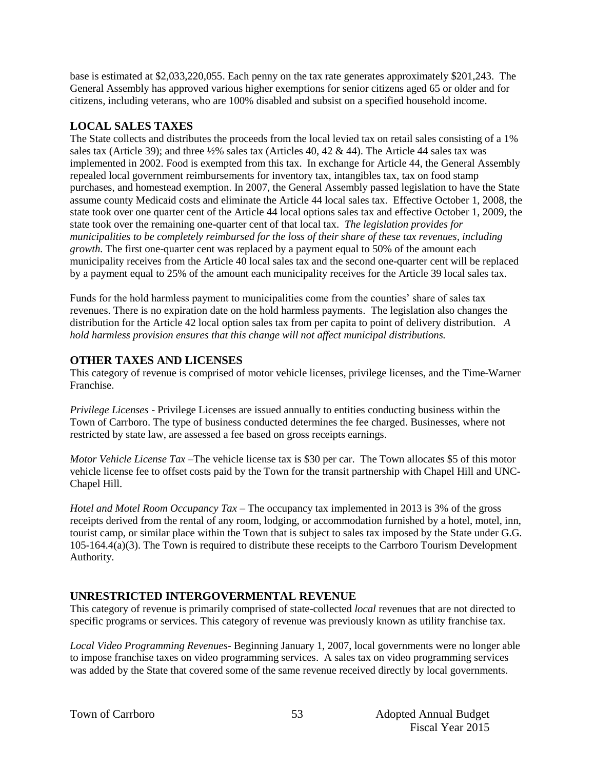base is estimated at \$2,033,220,055. Each penny on the tax rate generates approximately \$201,243. The General Assembly has approved various higher exemptions for senior citizens aged 65 or older and for citizens, including veterans, who are 100% disabled and subsist on a specified household income.

## **LOCAL SALES TAXES**

The State collects and distributes the proceeds from the local levied tax on retail sales consisting of a 1% sales tax (Article 39); and three 1/2% sales tax (Articles 40, 42 & 44). The Article 44 sales tax was implemented in 2002. Food is exempted from this tax. In exchange for Article 44, the General Assembly repealed local government reimbursements for inventory tax, intangibles tax, tax on food stamp purchases, and homestead exemption. In 2007, the General Assembly passed legislation to have the State assume county Medicaid costs and eliminate the Article 44 local sales tax. Effective October 1, 2008, the state took over one quarter cent of the Article 44 local options sales tax and effective October 1, 2009, the state took over the remaining one-quarter cent of that local tax. *The legislation provides for municipalities to be completely reimbursed for the loss of their share of these tax revenues, including growth.* The first one-quarter cent was replaced by a payment equal to 50% of the amount each municipality receives from the Article 40 local sales tax and the second one-quarter cent will be replaced by a payment equal to 25% of the amount each municipality receives for the Article 39 local sales tax.

Funds for the hold harmless payment to municipalities come from the counties' share of sales tax revenues. There is no expiration date on the hold harmless payments. The legislation also changes the distribution for the Article 42 local option sales tax from per capita to point of delivery distribution. *A hold harmless provision ensures that this change will not affect municipal distributions.*

# **OTHER TAXES AND LICENSES**

This category of revenue is comprised of motor vehicle licenses, privilege licenses, and the Time-Warner Franchise.

*Privilege Licenses* - Privilege Licenses are issued annually to entities conducting business within the Town of Carrboro. The type of business conducted determines the fee charged. Businesses, where not restricted by state law, are assessed a fee based on gross receipts earnings.

*Motor Vehicle License Tax* –The vehicle license tax is \$30 per car. The Town allocates \$5 of this motor vehicle license fee to offset costs paid by the Town for the transit partnership with Chapel Hill and UNC-Chapel Hill.

*Hotel and Motel Room Occupancy Tax* – The occupancy tax implemented in 2013 is 3% of the gross receipts derived from the rental of any room, lodging, or accommodation furnished by a hotel, motel, inn, tourist camp, or similar place within the Town that is subject to sales tax imposed by the State under G.G.  $105-164.4(a)(3)$ . The Town is required to distribute these receipts to the Carrboro Tourism Development Authority.

## **UNRESTRICTED INTERGOVERMENTAL REVENUE**

This category of revenue is primarily comprised of state-collected *local* revenues that are not directed to specific programs or services. This category of revenue was previously known as utility franchise tax.

*Local Video Programming Revenues*- Beginning January 1, 2007, local governments were no longer able to impose franchise taxes on video programming services. A sales tax on video programming services was added by the State that covered some of the same revenue received directly by local governments.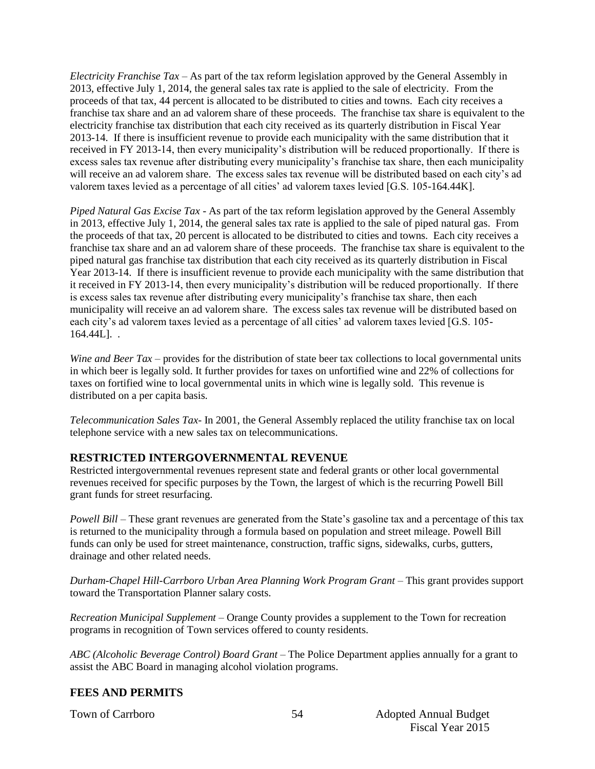*Electricity Franchise Tax* – As part of the tax reform legislation approved by the General Assembly in 2013, effective July 1, 2014, the general sales tax rate is applied to the sale of electricity. From the proceeds of that tax, 44 percent is allocated to be distributed to cities and towns. Each city receives a franchise tax share and an ad valorem share of these proceeds. The franchise tax share is equivalent to the electricity franchise tax distribution that each city received as its quarterly distribution in Fiscal Year 2013-14. If there is insufficient revenue to provide each municipality with the same distribution that it received in FY 2013-14, then every municipality's distribution will be reduced proportionally. If there is excess sales tax revenue after distributing every municipality's franchise tax share, then each municipality will receive an ad valorem share. The excess sales tax revenue will be distributed based on each city's ad valorem taxes levied as a percentage of all cities' ad valorem taxes levied [G.S. 105-164.44K].

*Piped Natural Gas Excise Tax* - As part of the tax reform legislation approved by the General Assembly in 2013, effective July 1, 2014, the general sales tax rate is applied to the sale of piped natural gas. From the proceeds of that tax, 20 percent is allocated to be distributed to cities and towns. Each city receives a franchise tax share and an ad valorem share of these proceeds. The franchise tax share is equivalent to the piped natural gas franchise tax distribution that each city received as its quarterly distribution in Fiscal Year 2013-14. If there is insufficient revenue to provide each municipality with the same distribution that it received in FY 2013-14, then every municipality's distribution will be reduced proportionally. If there is excess sales tax revenue after distributing every municipality's franchise tax share, then each municipality will receive an ad valorem share. The excess sales tax revenue will be distributed based on each city's ad valorem taxes levied as a percentage of all cities' ad valorem taxes levied [G.S. 105- 164.44L]. .

*Wine and Beer Tax* – provides for the distribution of state beer tax collections to local governmental units in which beer is legally sold. It further provides for taxes on unfortified wine and 22% of collections for taxes on fortified wine to local governmental units in which wine is legally sold. This revenue is distributed on a per capita basis.

*Telecommunication Sales Tax*- In 2001, the General Assembly replaced the utility franchise tax on local telephone service with a new sales tax on telecommunications.

## **RESTRICTED INTERGOVERNMENTAL REVENUE**

Restricted intergovernmental revenues represent state and federal grants or other local governmental revenues received for specific purposes by the Town, the largest of which is the recurring Powell Bill grant funds for street resurfacing.

*Powell Bill* – These grant revenues are generated from the State's gasoline tax and a percentage of this tax is returned to the municipality through a formula based on population and street mileage. Powell Bill funds can only be used for street maintenance, construction, traffic signs, sidewalks, curbs, gutters, drainage and other related needs.

*Durham-Chapel Hill-Carrboro Urban Area Planning Work Program Grant* – This grant provides support toward the Transportation Planner salary costs.

*Recreation Municipal Supplement –* Orange County provides a supplement to the Town for recreation programs in recognition of Town services offered to county residents.

*ABC (Alcoholic Beverage Control) Board Grant* – The Police Department applies annually for a grant to assist the ABC Board in managing alcohol violation programs.

## **FEES AND PERMITS**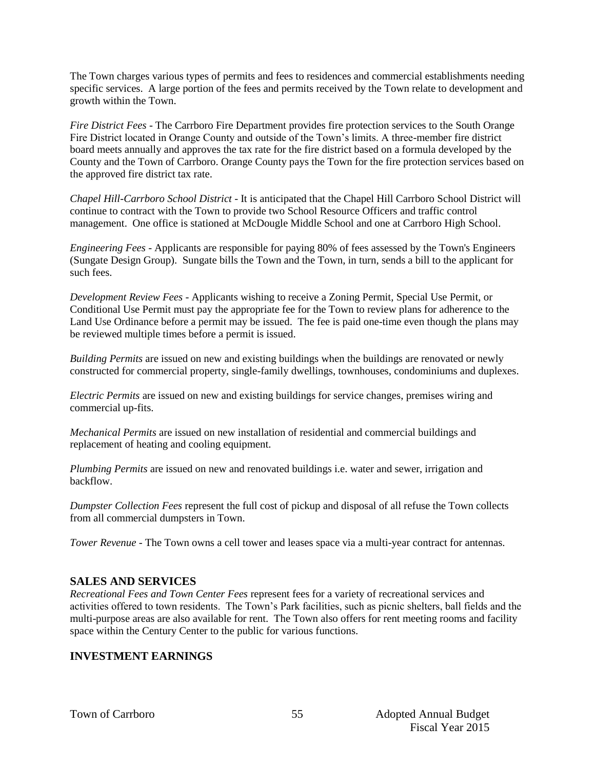The Town charges various types of permits and fees to residences and commercial establishments needing specific services. A large portion of the fees and permits received by the Town relate to development and growth within the Town.

*Fire District Fees* - The Carrboro Fire Department provides fire protection services to the South Orange Fire District located in Orange County and outside of the Town's limits. A three-member fire district board meets annually and approves the tax rate for the fire district based on a formula developed by the County and the Town of Carrboro. Orange County pays the Town for the fire protection services based on the approved fire district tax rate.

*Chapel Hill-Carrboro School District* - It is anticipated that the Chapel Hill Carrboro School District will continue to contract with the Town to provide two School Resource Officers and traffic control management. One office is stationed at McDougle Middle School and one at Carrboro High School.

*Engineering Fees* - Applicants are responsible for paying 80% of fees assessed by the Town's Engineers (Sungate Design Group). Sungate bills the Town and the Town, in turn, sends a bill to the applicant for such fees.

*Development Review Fees* - Applicants wishing to receive a Zoning Permit, Special Use Permit, or Conditional Use Permit must pay the appropriate fee for the Town to review plans for adherence to the Land Use Ordinance before a permit may be issued. The fee is paid one-time even though the plans may be reviewed multiple times before a permit is issued.

*Building Permits* are issued on new and existing buildings when the buildings are renovated or newly constructed for commercial property, single-family dwellings, townhouses, condominiums and duplexes.

*Electric Permits* are issued on new and existing buildings for service changes, premises wiring and commercial up-fits.

*Mechanical Permits* are issued on new installation of residential and commercial buildings and replacement of heating and cooling equipment.

*Plumbing Permits* are issued on new and renovated buildings i.e. water and sewer, irrigation and backflow.

*Dumpster Collection Fees* represent the full cost of pickup and disposal of all refuse the Town collects from all commercial dumpsters in Town.

*Tower Revenue* - The Town owns a cell tower and leases space via a multi-year contract for antennas.

## **SALES AND SERVICES**

*Recreational Fees and Town Center Fees* represent fees for a variety of recreational services and activities offered to town residents. The Town's Park facilities, such as picnic shelters, ball fields and the multi-purpose areas are also available for rent. The Town also offers for rent meeting rooms and facility space within the Century Center to the public for various functions.

## **INVESTMENT EARNINGS**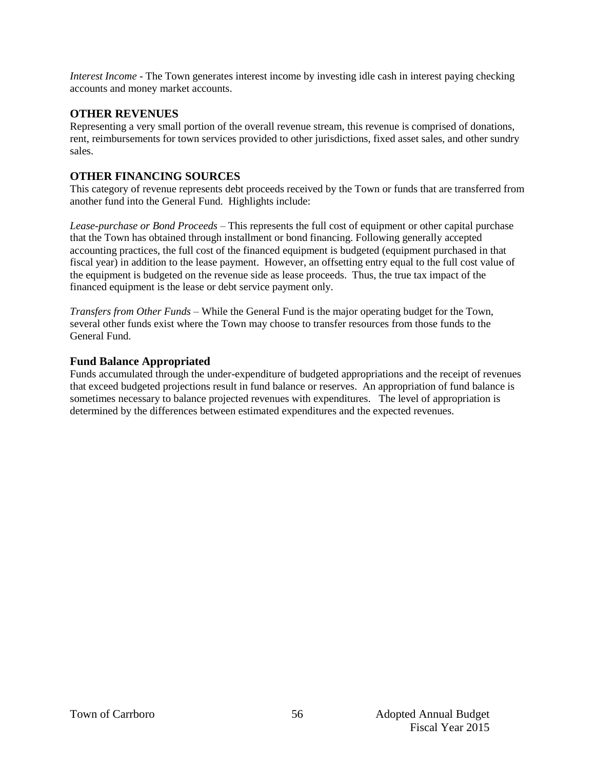*Interest Income* - The Town generates interest income by investing idle cash in interest paying checking accounts and money market accounts.

#### **OTHER REVENUES**

Representing a very small portion of the overall revenue stream, this revenue is comprised of donations, rent, reimbursements for town services provided to other jurisdictions, fixed asset sales, and other sundry sales.

## **OTHER FINANCING SOURCES**

This category of revenue represents debt proceeds received by the Town or funds that are transferred from another fund into the General Fund. Highlights include:

*Lease-purchase or Bond Proceeds –* This represents the full cost of equipment or other capital purchase that the Town has obtained through installment or bond financing. Following generally accepted accounting practices, the full cost of the financed equipment is budgeted (equipment purchased in that fiscal year) in addition to the lease payment. However, an offsetting entry equal to the full cost value of the equipment is budgeted on the revenue side as lease proceeds. Thus, the true tax impact of the financed equipment is the lease or debt service payment only.

*Transfers from Other Funds –* While the General Fund is the major operating budget for the Town, several other funds exist where the Town may choose to transfer resources from those funds to the General Fund.

## **Fund Balance Appropriated**

Funds accumulated through the under-expenditure of budgeted appropriations and the receipt of revenues that exceed budgeted projections result in fund balance or reserves. An appropriation of fund balance is sometimes necessary to balance projected revenues with expenditures. The level of appropriation is determined by the differences between estimated expenditures and the expected revenues.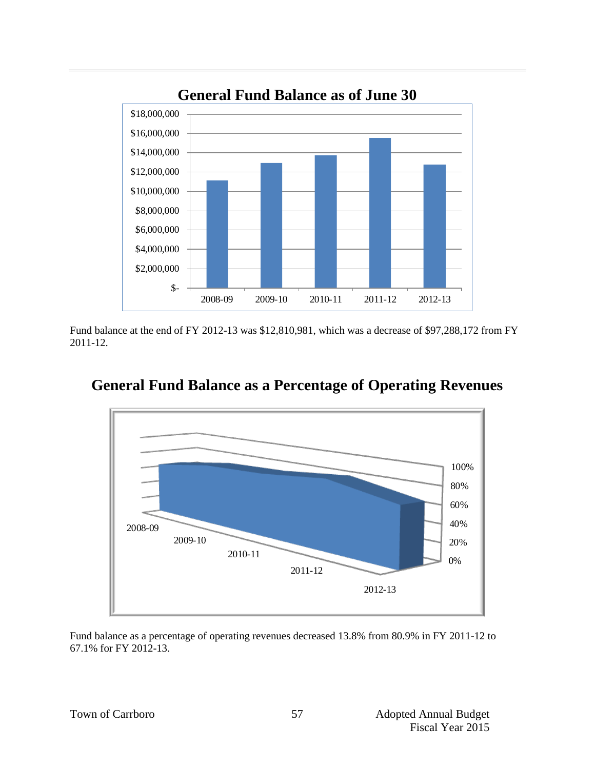

Fund balance at the end of FY 2012-13 was \$12,810,981, which was a decrease of \$97,288,172 from FY 2011-12.



# **General Fund Balance as a Percentage of Operating Revenues**

Fund balance as a percentage of operating revenues decreased 13.8% from 80.9% in FY 2011-12 to 67.1% for FY 2012-13.